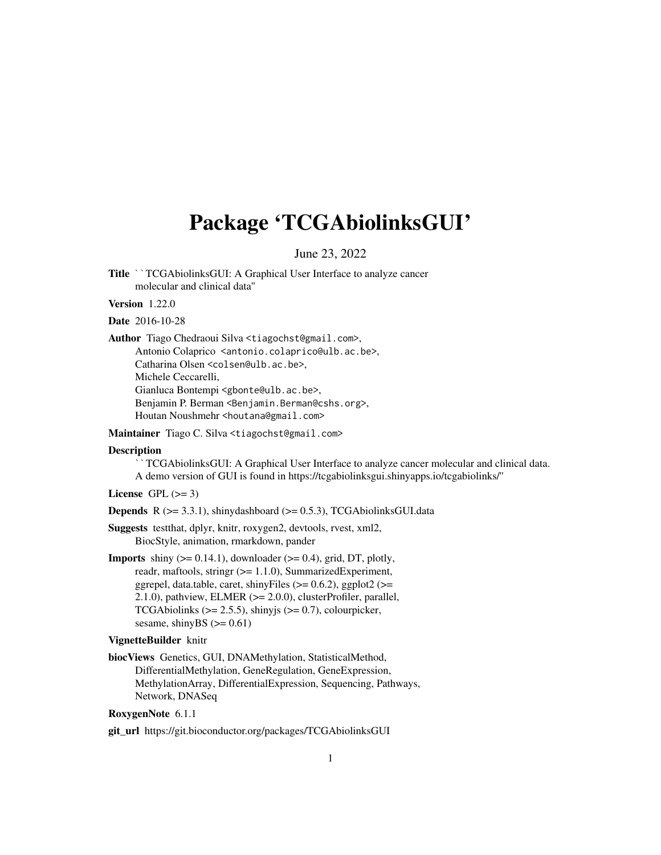## Package 'TCGAbiolinksGUI'

June 23, 2022

Title ``TCGAbiolinksGUI: A Graphical User Interface to analyze cancer molecular and clinical data''

Version 1.22.0

Date 2016-10-28

Author Tiago Chedraoui Silva <tiagochst@gmail.com>,

Antonio Colaprico <antonio.colaprico@ulb.ac.be>, Catharina Olsen <colsen@ulb.ac.be>, Michele Ceccarelli, Gianluca Bontempi <gbonte@ulb.ac.be>, Benjamin P. Berman <Benjamin.Berman@cshs.org>, Houtan Noushmehr <houtana@gmail.com>

Maintainer Tiago C. Silva <tiagochst@gmail.com>

#### **Description**

TCGAbiolinksGUI: A Graphical User Interface to analyze cancer molecular and clinical data. A demo version of GUI is found in https://tcgabiolinksgui.shinyapps.io/tcgabiolinks/''

License GPL  $(>= 3)$ 

**Depends** R  $(>= 3.3.1)$ , shinydashboard  $(>= 0.5.3)$ , TCGAbiolinksGUI.data

- Suggests testthat, dplyr, knitr, roxygen2, devtools, rvest, xml2, BiocStyle, animation, rmarkdown, pander
- **Imports** shiny  $(>= 0.14.1)$ , downloader  $(>= 0.4)$ , grid, DT, plotly, readr, maftools, stringr (>= 1.1.0), SummarizedExperiment, ggrepel, data.table, caret, shinyFiles ( $> = 0.6.2$ ), ggplot2 ( $> =$ 2.1.0), pathview, ELMER (>= 2.0.0), clusterProfiler, parallel, TCGAbiolinks ( $>= 2.5.5$ ), shinyjs ( $>= 0.7$ ), colourpicker, sesame, shinyBS  $(>= 0.61)$

#### VignetteBuilder knitr

biocViews Genetics, GUI, DNAMethylation, StatisticalMethod, DifferentialMethylation, GeneRegulation, GeneExpression, MethylationArray, DifferentialExpression, Sequencing, Pathways, Network, DNASeq

#### RoxygenNote 6.1.1

git\_url https://git.bioconductor.org/packages/TCGAbiolinksGUI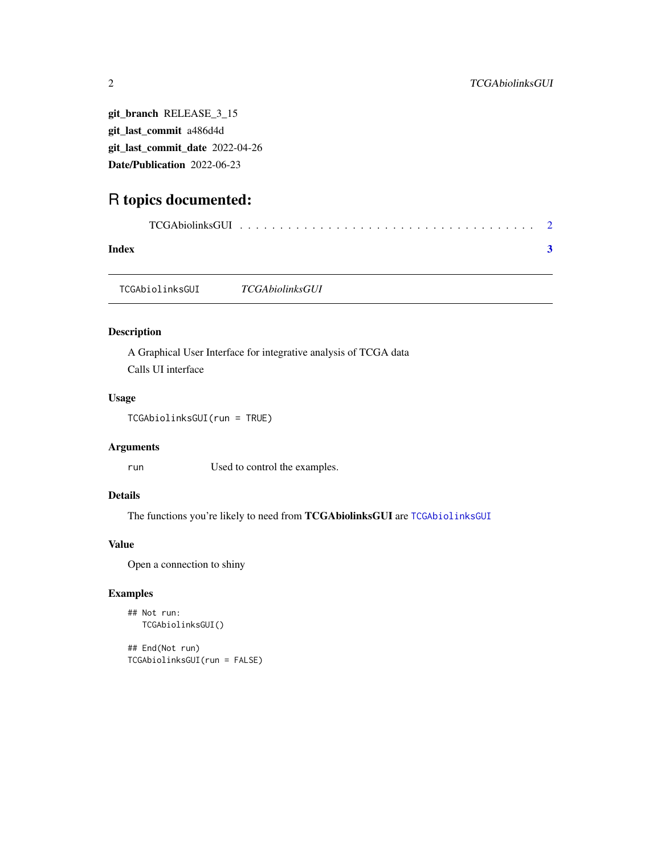git\_branch RELEASE\_3\_15 git\_last\_commit a486d4d git\_last\_commit\_date 2022-04-26 Date/Publication 2022-06-23

### R topics documented:

| Index |  |  |  |  |  |  |  |  |  |  |  |  |
|-------|--|--|--|--|--|--|--|--|--|--|--|--|

<span id="page-1-1"></span>TCGAbiolinksGUI *TCGAbiolinksGUI*

#### Description

A Graphical User Interface for integrative analysis of TCGA data Calls UI interface

#### Usage

```
TCGAbiolinksGUI(run = TRUE)
```
#### Arguments

run Used to control the examples.

#### Details

The functions you're likely to need from TCGAbiolinksGUI are [TCGAbiolinksGUI](#page-1-1)

#### Value

Open a connection to shiny

#### Examples

```
## Not run:
TCGAbiolinksGUI()
```
## End(Not run) TCGAbiolinksGUI(run = FALSE)

<span id="page-1-0"></span>